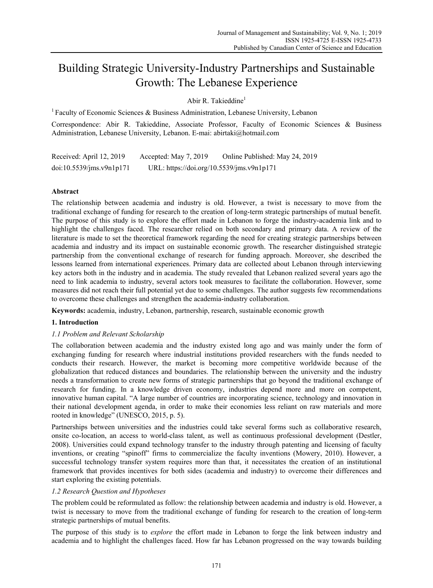# Building Strategic University-Industry Partnerships and Sustainable Growth: The Lebanese Experience

Abir R. Takieddine<sup>1</sup>

<sup>1</sup> Faculty of Economic Sciences & Business Administration, Lebanese University, Lebanon

Correspondence: Abir R. Takieddine, Associate Professor, Faculty of Economic Sciences & Business Administration, Lebanese University, Lebanon. E-mai: abirtaki@hotmail.com

Received: April 12, 2019 Accepted: May 7, 2019 Online Published: May 24, 2019 doi:10.5539/jms.v9n1p171 URL: https://doi.org/10.5539/jms.v9n1p171

# **Abstract**

The relationship between academia and industry is old. However, a twist is necessary to move from the traditional exchange of funding for research to the creation of long-term strategic partnerships of mutual benefit. The purpose of this study is to explore the effort made in Lebanon to forge the industry-academia link and to highlight the challenges faced. The researcher relied on both secondary and primary data. A review of the literature is made to set the theoretical framework regarding the need for creating strategic partnerships between academia and industry and its impact on sustainable economic growth. The researcher distinguished strategic partnership from the conventional exchange of research for funding approach. Moreover, she described the lessons learned from international experiences. Primary data are collected about Lebanon through interviewing key actors both in the industry and in academia. The study revealed that Lebanon realized several years ago the need to link academia to industry, several actors took measures to facilitate the collaboration. However, some measures did not reach their full potential yet due to some challenges. The author suggests few recommendations to overcome these challenges and strengthen the academia-industry collaboration.

**Keywords:** academia, industry, Lebanon, partnership, research, sustainable economic growth

# **1. Introduction**

# *1.1 Problem and Relevant Scholarship*

The collaboration between academia and the industry existed long ago and was mainly under the form of exchanging funding for research where industrial institutions provided researchers with the funds needed to conducts their research. However, the market is becoming more competitive worldwide because of the globalization that reduced distances and boundaries. The relationship between the university and the industry needs a transformation to create new forms of strategic partnerships that go beyond the traditional exchange of research for funding. In a knowledge driven economy, industries depend more and more on competent, innovative human capital. "A large number of countries are incorporating science, technology and innovation in their national development agenda, in order to make their economies less reliant on raw materials and more rooted in knowledge" (UNESCO, 2015, p. 5).

Partnerships between universities and the industries could take several forms such as collaborative research, onsite co-location, an access to world-class talent, as well as continuous professional development (Destler, 2008). Universities could expand technology transfer to the industry through patenting and licensing of faculty inventions, or creating "spinoff" firms to commercialize the faculty inventions (Mowery, 2010). However, a successful technology transfer system requires more than that, it necessitates the creation of an institutional framework that provides incentives for both sides (academia and industry) to overcome their differences and start exploring the existing potentials.

# *1.2 Research Question and Hypotheses*

The problem could be reformulated as follow: the relationship between academia and industry is old. However, a twist is necessary to move from the traditional exchange of funding for research to the creation of long-term strategic partnerships of mutual benefits.

The purpose of this study is to *explore* the effort made in Lebanon to forge the link between industry and academia and to highlight the challenges faced. How far has Lebanon progressed on the way towards building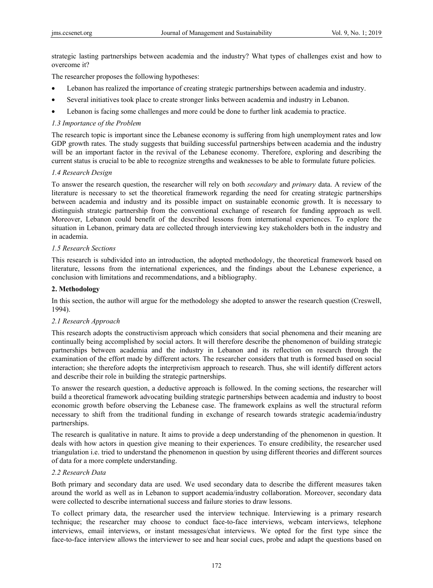strategic lasting partnerships between academia and the industry? What types of challenges exist and how to overcome it?

The researcher proposes the following hypotheses:

- Lebanon has realized the importance of creating strategic partnerships between academia and industry.
- Several initiatives took place to create stronger links between academia and industry in Lebanon.
- Lebanon is facing some challenges and more could be done to further link academia to practice.

# *1.3 Importance of the Problem*

The research topic is important since the Lebanese economy is suffering from high unemployment rates and low GDP growth rates. The study suggests that building successful partnerships between academia and the industry will be an important factor in the revival of the Lebanese economy. Therefore, exploring and describing the current status is crucial to be able to recognize strengths and weaknesses to be able to formulate future policies.

# *1.4 Research Design*

To answer the research question, the researcher will rely on both *secondary* and *primary* data. A review of the literature is necessary to set the theoretical framework regarding the need for creating strategic partnerships between academia and industry and its possible impact on sustainable economic growth. It is necessary to distinguish strategic partnership from the conventional exchange of research for funding approach as well. Moreover, Lebanon could benefit of the described lessons from international experiences. To explore the situation in Lebanon, primary data are collected through interviewing key stakeholders both in the industry and in academia.

# *1.5 Research Sections*

This research is subdivided into an introduction, the adopted methodology, the theoretical framework based on literature, lessons from the international experiences, and the findings about the Lebanese experience, a conclusion with limitations and recommendations, and a bibliography.

# **2. Methodology**

In this section, the author will argue for the methodology she adopted to answer the research question (Creswell, 1994).

# *2.1 Research Approach*

This research adopts the constructivism approach which considers that social phenomena and their meaning are continually being accomplished by social actors. It will therefore describe the phenomenon of building strategic partnerships between academia and the industry in Lebanon and its reflection on research through the examination of the effort made by different actors. The researcher considers that truth is formed based on social interaction; she therefore adopts the interpretivism approach to research. Thus, she will identify different actors and describe their role in building the strategic partnerships.

To answer the research question, a deductive approach is followed. In the coming sections, the researcher will build a theoretical framework advocating building strategic partnerships between academia and industry to boost economic growth before observing the Lebanese case. The framework explains as well the structural reform necessary to shift from the traditional funding in exchange of research towards strategic academia/industry partnerships.

The research is qualitative in nature. It aims to provide a deep understanding of the phenomenon in question. It deals with how actors in question give meaning to their experiences. To ensure credibility, the researcher used triangulation i.e. tried to understand the phenomenon in question by using different theories and different sources of data for a more complete understanding.

# *2.2 Research Data*

Both primary and secondary data are used. We used secondary data to describe the different measures taken around the world as well as in Lebanon to support academia/industry collaboration. Moreover, secondary data were collected to describe international success and failure stories to draw lessons.

To collect primary data, the researcher used the interview technique. Interviewing is a primary research technique; the researcher may choose to conduct face-to-face interviews, webcam interviews, telephone interviews, email interviews, or instant messages/chat interviews. We opted for the first type since the face-to-face interview allows the interviewer to see and hear social cues, probe and adapt the questions based on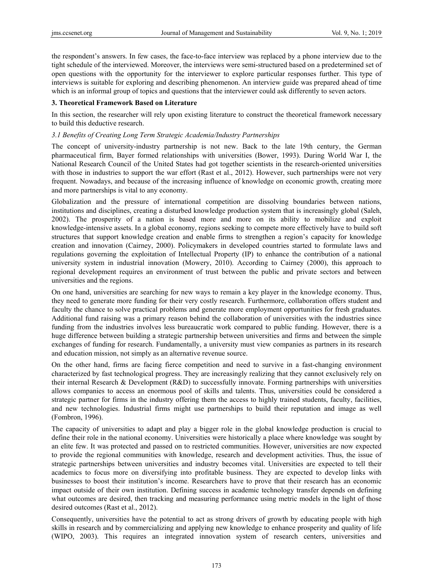the respondent's answers. In few cases, the face-to-face interview was replaced by a phone interview due to the tight schedule of the interviewed. Moreover, the interviews were semi-structured based on a predetermined set of open questions with the opportunity for the interviewer to explore particular responses further. This type of interviews is suitable for exploring and describing phenomenon. An interview guide was prepared ahead of time which is an informal group of topics and questions that the interviewer could ask differently to seven actors.

# **3. Theoretical Framework Based on Literature**

In this section, the researcher will rely upon existing literature to construct the theoretical framework necessary to build this deductive research.

## *3.1 Benefits of Creating Long Term Strategic Academia/Industry Partnerships*

The concept of university-industry partnership is not new. Back to the late 19th century, the German pharmaceutical firm, Bayer formed relationships with universities (Bower, 1993). During World War I, the National Research Council of the United States had got together scientists in the research-oriented universities with those in industries to support the war effort (Rast et al., 2012). However, such partnerships were not very frequent. Nowadays, and because of the increasing influence of knowledge on economic growth, creating more and more partnerships is vital to any economy.

Globalization and the pressure of international competition are dissolving boundaries between nations, institutions and disciplines, creating a disturbed knowledge production system that is increasingly global (Saleh, 2002). The prosperity of a nation is based more and more on its ability to mobilize and exploit knowledge-intensive assets. In a global economy, regions seeking to compete more effectively have to build soft structures that support knowledge creation and enable firms to strengthen a region's capacity for knowledge creation and innovation (Cairney, 2000). Policymakers in developed countries started to formulate laws and regulations governing the exploitation of Intellectual Property (IP) to enhance the contribution of a national university system in industrial innovation (Mowery, 2010). According to Cairney (2000), this approach to regional development requires an environment of trust between the public and private sectors and between universities and the regions.

On one hand, universities are searching for new ways to remain a key player in the knowledge economy. Thus, they need to generate more funding for their very costly research. Furthermore, collaboration offers student and faculty the chance to solve practical problems and generate more employment opportunities for fresh graduates. Additional fund raising was a primary reason behind the collaboration of universities with the industries since funding from the industries involves less bureaucratic work compared to public funding. However, there is a huge difference between building a strategic partnership between universities and firms and between the simple exchanges of funding for research. Fundamentally, a university must view companies as partners in its research and education mission, not simply as an alternative revenue source.

On the other hand, firms are facing fierce competition and need to survive in a fast-changing environment characterized by fast technological progress. They are increasingly realizing that they cannot exclusively rely on their internal Research & Development (R&D) to successfully innovate. Forming partnerships with universities allows companies to access an enormous pool of skills and talents. Thus, universities could be considered a strategic partner for firms in the industry offering them the access to highly trained students, faculty, facilities, and new technologies. Industrial firms might use partnerships to build their reputation and image as well (Fombron, 1996).

The capacity of universities to adapt and play a bigger role in the global knowledge production is crucial to define their role in the national economy. Universities were historically a place where knowledge was sought by an elite few. It was protected and passed on to restricted communities. However, universities are now expected to provide the regional communities with knowledge, research and development activities. Thus, the issue of strategic partnerships between universities and industry becomes vital. Universities are expected to tell their academics to focus more on diversifying into profitable business. They are expected to develop links with businesses to boost their institution's income. Researchers have to prove that their research has an economic impact outside of their own institution. Defining success in academic technology transfer depends on defining what outcomes are desired, then tracking and measuring performance using metric models in the light of those desired outcomes (Rast et al., 2012).

Consequently, universities have the potential to act as strong drivers of growth by educating people with high skills in research and by commercializing and applying new knowledge to enhance prosperity and quality of life (WIPO, 2003). This requires an integrated innovation system of research centers, universities and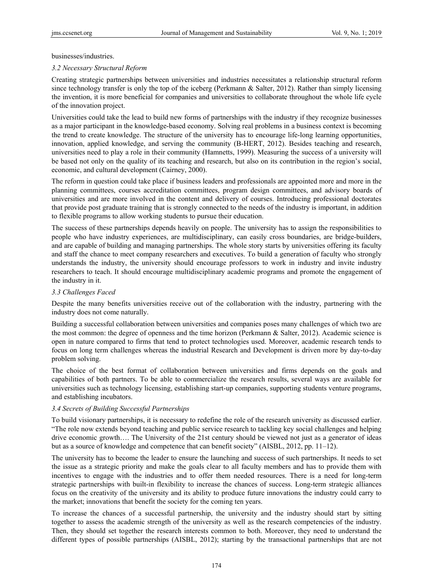businesses/industries.

# *3.2 Necessary Structural Reform*

Creating strategic partnerships between universities and industries necessitates a relationship structural reform since technology transfer is only the top of the iceberg (Perkmann & Salter, 2012). Rather than simply licensing the invention, it is more beneficial for companies and universities to collaborate throughout the whole life cycle of the innovation project.

Universities could take the lead to build new forms of partnerships with the industry if they recognize businesses as a major participant in the knowledge-based economy. Solving real problems in a business context is becoming the trend to create knowledge. The structure of the university has to encourage life-long learning opportunities, innovation, applied knowledge, and serving the community (B-HERT, 2012). Besides teaching and research, universities need to play a role in their community (Hamnetts, 1999). Measuring the success of a university will be based not only on the quality of its teaching and research, but also on its contribution in the region's social, economic, and cultural development (Cairney, 2000).

The reform in question could take place if business leaders and professionals are appointed more and more in the planning committees, courses accreditation committees, program design committees, and advisory boards of universities and are more involved in the content and delivery of courses. Introducing professional doctorates that provide post graduate training that is strongly connected to the needs of the industry is important, in addition to flexible programs to allow working students to pursue their education.

The success of these partnerships depends heavily on people. The university has to assign the responsibilities to people who have industry experiences, are multidisciplinary, can easily cross boundaries, are bridge-builders, and are capable of building and managing partnerships. The whole story starts by universities offering its faculty and staff the chance to meet company researchers and executives. To build a generation of faculty who strongly understands the industry, the university should encourage professors to work in industry and invite industry researchers to teach. It should encourage multidisciplinary academic programs and promote the engagement of the industry in it.

# *3.3 Challenges Faced*

Despite the many benefits universities receive out of the collaboration with the industry, partnering with the industry does not come naturally.

Building a successful collaboration between universities and companies poses many challenges of which two are the most common: the degree of openness and the time horizon (Perkmann & Salter, 2012). Academic science is open in nature compared to firms that tend to protect technologies used. Moreover, academic research tends to focus on long term challenges whereas the industrial Research and Development is driven more by day-to-day problem solving.

The choice of the best format of collaboration between universities and firms depends on the goals and capabilities of both partners. To be able to commercialize the research results, several ways are available for universities such as technology licensing, establishing start-up companies, supporting students venture programs, and establishing incubators.

# *3.4 Secrets of Building Successful Partnerships*

To build visionary partnerships, it is necessary to redefine the role of the research university as discussed earlier. "The role now extends beyond teaching and public service research to tackling key social challenges and helping drive economic growth…. The University of the 21st century should be viewed not just as a generator of ideas but as a source of knowledge and competence that can benefit society" (AISBL, 2012, pp. 11–12).

The university has to become the leader to ensure the launching and success of such partnerships. It needs to set the issue as a strategic priority and make the goals clear to all faculty members and has to provide them with incentives to engage with the industries and to offer them needed resources. There is a need for long-term strategic partnerships with built-in flexibility to increase the chances of success. Long-term strategic alliances focus on the creativity of the university and its ability to produce future innovations the industry could carry to the market; innovations that benefit the society for the coming ten years.

To increase the chances of a successful partnership, the university and the industry should start by sitting together to assess the academic strength of the university as well as the research competencies of the industry. Then, they should set together the research interests common to both. Moreover, they need to understand the different types of possible partnerships (AISBL, 2012); starting by the transactional partnerships that are not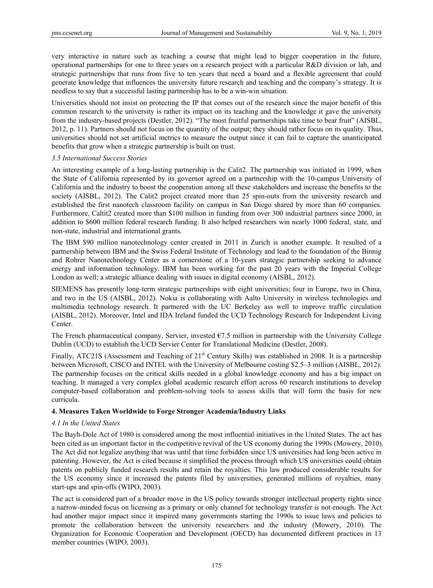very interactive in nature such as teaching a course that might lead to bigger cooperation in the future, operational partnerships for one to three years on a research project with a particular R&D division or lab, and strategic partnerships that runs from five to ten years that need a board and a flexible agreement that could generate knowledge that influences the university future research and teaching and the company's strategy. It is needless to say that a successful lasting partnership has to be a win-win situation.

Universities should not insist on protecting the IP that comes out of the research since the major benefit of this common research to the university is rather its impact on its teaching and the knowledge it gave the university from the industry-based projects (Destler, 2012). "The most fruitful partnerships take time to bear fruit" (AISBL, 2012, p. 11). Partners should not focus on the quantity of the output; they should rather focus on its quality. Thus, universities should not set artificial metrics to measure the output since it can fail to capture the unanticipated benefits that grow when a strategic partnership is built on trust.

## *3.5 International Success Stories*

An interesting example of a long-lasting partnership is the Calit2. The partnership was initiated in 1999, when the State of California represented by its governor agreed on a partnership with the 10-campus University of California and the industry to boost the cooperation among all these stakeholders and increase the benefits to the society (AISBL, 2012). The Calit2 project created more than 25 spin-outs from the university research and established the first nanotech classroom facility on campus in San Diego shared by more than 60 companies. Furthermore, Caltit2 created more than \$100 million in funding from over 300 industrial partners since 2000, in addition to \$600 million federal research funding. It also helped researchers win nearly 1000 federal, state, and non-state, industrial and international grants.

The IBM \$90 million nanotechnology center created in 2011 in Zurich is another example. It resulted of a partnership between IBM and the Swiss Federal Institute of Technology and lead to the foundation of the Binnig and Rohrer Nanotechnology Center as a cornerstone of a 10-years strategic partnership seeking to advance energy and information technology. IBM has been working for the past 20 years with the Imperial College London as well; a strategic alliance dealing with issues in digital economy (AISBL, 2012).

SIEMENS has presently long-term strategic partnerships with eight universities; four in Europe, two in China, and two in the US (AISBL, 2012). Nokia is collaborating with Aalto University in wireless technologies and multimedia technology research. It partnered with the UC Berkeley ass well to improve traffic circulation (AISBL, 2012). Moreover, Intel and IDA Ireland funded the UCD Technology Research for Independent Living Center.

The French pharmaceutical company, Servier, invested  $E7.5$  million in partnership with the University College Dublin (UCD) to establish the UCD Servier Center for Translational Medicine (Destler, 2008).

Finally, ATC21S (Assessment and Teaching of 21<sup>st</sup> Century Skills) was established in 2008. It is a partnership between Microsoft, CISCO and INTEL with the University of Melbourne costing \$2.5–3 million (AISBL, 2012). The partnership focuses on the critical skills needed in a global knowledge economy and has a big impact on teaching. It managed a very complex global academic research effort across 60 research institutions to develop computer-based collaboration and problem-solving tools to assess skills that will form the basis for new curricula.

# **4. Measures Taken Worldwide to Forge Stronger Academia/Industry Links**

# *4.1 In the United States*

The Bayh-Dole Act of 1980 is considered among the most influential initiatives in the United States. The act has been cited as an important factor in the competitive revival of the US economy during the 1990s (Mowery, 2010). The Act did not legalize anything that was until that time forbidden since US universities had long been active in patenting. However, the Act is cited because it simplified the process through which US universities could obtain patents on publicly funded research results and retain the royalties. This law produced considerable results for the US economy since it increased the patents filed by universities, generated millions of royalties, many start-ups and spin-offs (WIPO, 2003).

The act is considered part of a broader move in the US policy towards stronger intellectual property rights since a narrow-minded focus on licensing as a primary or only channel for technology transfer is not enough. The Act had another major impact since it inspired many governments starting the 1990s to issue laws and policies to promote the collaboration between the university researchers and the industry (Mowery, 2010). The Organization for Economic Cooperation and Development (OECD) has documented different practices in 13 member countries (WIPO, 2003).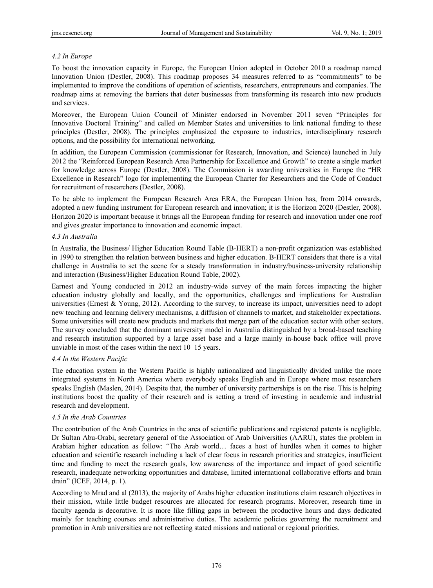# *4.2 In Europe*

To boost the innovation capacity in Europe, the European Union adopted in October 2010 a roadmap named Innovation Union (Destler, 2008). This roadmap proposes 34 measures referred to as "commitments" to be implemented to improve the conditions of operation of scientists, researchers, entrepreneurs and companies. The roadmap aims at removing the barriers that deter businesses from transforming its research into new products and services.

Moreover, the European Union Council of Minister endorsed in November 2011 seven "Principles for Innovative Doctoral Training" and called on Member States and universities to link national funding to these principles (Destler, 2008). The principles emphasized the exposure to industries, interdisciplinary research options, and the possibility for international networking.

In addition, the European Commission (commissioner for Research, Innovation, and Science) launched in July 2012 the "Reinforced European Research Area Partnership for Excellence and Growth" to create a single market for knowledge across Europe (Destler, 2008). The Commission is awarding universities in Europe the "HR Excellence in Research" logo for implementing the European Charter for Researchers and the Code of Conduct for recruitment of researchers (Destler, 2008).

To be able to implement the European Research Area ERA, the European Union has, from 2014 onwards, adopted a new funding instrument for European research and innovation; it is the Horizon 2020 (Destler, 2008). Horizon 2020 is important because it brings all the European funding for research and innovation under one roof and gives greater importance to innovation and economic impact.

# *4.3 In Australia*

In Australia, the Business/ Higher Education Round Table (B-HERT) a non-profit organization was established in 1990 to strengthen the relation between business and higher education. B-HERT considers that there is a vital challenge in Australia to set the scene for a steady transformation in industry/business-university relationship and interaction (Business/Higher Education Round Table, 2002).

Earnest and Young conducted in 2012 an industry-wide survey of the main forces impacting the higher education industry globally and locally, and the opportunities, challenges and implications for Australian universities (Ernest & Young, 2012). According to the survey, to increase its impact, universities need to adopt new teaching and learning delivery mechanisms, a diffusion of channels to market, and stakeholder expectations. Some universities will create new products and markets that merge part of the education sector with other sectors. The survey concluded that the dominant university model in Australia distinguished by a broad-based teaching and research institution supported by a large asset base and a large mainly in-house back office will prove unviable in most of the cases within the next 10–15 years.

# *4.4 In the Western Pacific*

The education system in the Western Pacific is highly nationalized and linguistically divided unlike the more integrated systems in North America where everybody speaks English and in Europe where most researchers speaks English (Maslen, 2014). Despite that, the number of university partnerships is on the rise. This is helping institutions boost the quality of their research and is setting a trend of investing in academic and industrial research and development.

# *4.5 In the Arab Countries*

The contribution of the Arab Countries in the area of scientific publications and registered patents is negligible. Dr Sultan Abu-Orabi, secretary general of the Association of Arab Universities (AARU), states the problem in Arabian higher education as follow: "The Arab world… faces a host of hurdles when it comes to higher education and scientific research including a lack of clear focus in research priorities and strategies, insufficient time and funding to meet the research goals, low awareness of the importance and impact of good scientific research, inadequate networking opportunities and database, limited international collaborative efforts and brain drain" (ICEF, 2014, p. 1).

According to Mrad and al (2013), the majority of Arabs higher education institutions claim research objectives in their mission, while little budget resources are allocated for research programs. Moreover, research time in faculty agenda is decorative. It is more like filling gaps in between the productive hours and days dedicated mainly for teaching courses and administrative duties. The academic policies governing the recruitment and promotion in Arab universities are not reflecting stated missions and national or regional priorities.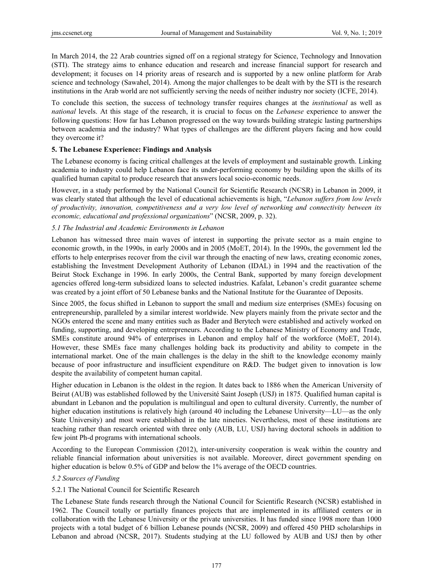In March 2014, the 22 Arab countries signed off on a regional strategy for Science, Technology and Innovation (STI). The strategy aims to enhance education and research and increase financial support for research and development; it focuses on 14 priority areas of research and is supported by a new online platform for Arab science and technology (Sawahel, 2014). Among the major challenges to be dealt with by the STI is the research institutions in the Arab world are not sufficiently serving the needs of neither industry nor society (ICFE, 2014).

To conclude this section, the success of technology transfer requires changes at the *institutional* as well as *national* levels. At this stage of the research, it is crucial to focus on the *Lebanese* experience to answer the following questions: How far has Lebanon progressed on the way towards building strategic lasting partnerships between academia and the industry? What types of challenges are the different players facing and how could they overcome it?

# **5. The Lebanese Experience: Findings and Analysis**

The Lebanese economy is facing critical challenges at the levels of employment and sustainable growth. Linking academia to industry could help Lebanon face its under-performing economy by building upon the skills of its qualified human capital to produce research that answers local socio-economic needs.

However, in a study performed by the National Council for Scientific Research (NCSR) in Lebanon in 2009, it was clearly stated that although the level of educational achievements is high, "*Lebanon suffers from low levels of productivity, innovation, competitiveness and a very low level of networking and connectivity between its economic, educational and professional organizations*" (NCSR, 2009, p. 32).

# *5.1 The Industrial and Academic Environments in Lebanon*

Lebanon has witnessed three main waves of interest in supporting the private sector as a main engine to economic growth, in the 1990s, in early 2000s and in 2005 (MoET, 2014). In the 1990s, the government led the efforts to help enterprises recover from the civil war through the enacting of new laws, creating economic zones, establishing the Investment Development Authority of Lebanon (IDAL) in 1994 and the reactivation of the Beirut Stock Exchange in 1996. In early 2000s, the Central Bank, supported by many foreign development agencies offered long-term subsidized loans to selected industries. Kafalat, Lebanon's credit guarantee scheme was created by a joint effort of 50 Lebanese banks and the National Institute for the Guarantee of Deposits.

Since 2005, the focus shifted in Lebanon to support the small and medium size enterprises (SMEs) focusing on entrepreneurship, paralleled by a similar interest worldwide. New players mainly from the private sector and the NGOs entered the scene and many entities such as Bader and Berytech were established and actively worked on funding, supporting, and developing entrepreneurs. According to the Lebanese Ministry of Economy and Trade, SMEs constitute around 94% of enterprises in Lebanon and employ half of the workforce (MoET, 2014). However, these SMEs face many challenges holding back its productivity and ability to compete in the international market. One of the main challenges is the delay in the shift to the knowledge economy mainly because of poor infrastructure and insufficient expenditure on R&D. The budget given to innovation is low despite the availability of competent human capital.

Higher education in Lebanon is the oldest in the region. It dates back to 1886 when the American University of Beirut (AUB) was established followed by the Université Saint Joseph (USJ) in 1875. Qualified human capital is abundant in Lebanon and the population is multilingual and open to cultural diversity. Currently, the number of higher education institutions is relatively high (around 40 including the Lebanese University—LU—as the only State University) and most were established in the late nineties. Nevertheless, most of these institutions are teaching rather than research oriented with three only (AUB, LU, USJ) having doctoral schools in addition to few joint Ph-d programs with international schools.

According to the European Commission (2012), inter-university cooperation is weak within the country and reliable financial information about universities is not available. Moreover, direct government spending on higher education is below 0.5% of GDP and below the 1% average of the OECD countries.

# *5.2 Sources of Funding*

# 5.2.1 The National Council for Scientific Research

The Lebanese State funds research through the National Council for Scientific Research (NCSR) established in 1962. The Council totally or partially finances projects that are implemented in its affiliated centers or in collaboration with the Lebanese University or the private universities. It has funded since 1998 more than 1000 projects with a total budget of 6 billion Lebanese pounds (NCSR, 2009) and offered 450 PHD scholarships in Lebanon and abroad (NCSR, 2017). Students studying at the LU followed by AUB and USJ then by other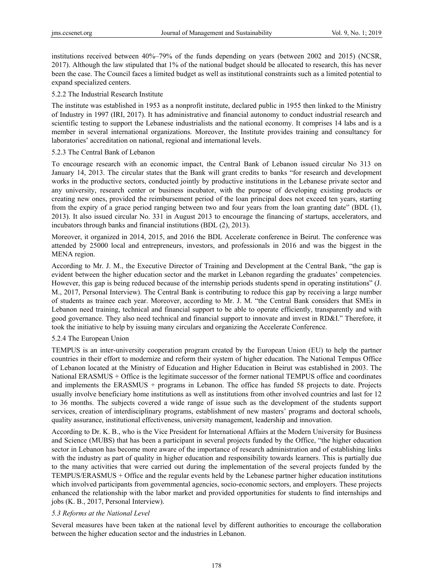institutions received between 40%–79% of the funds depending on years (between 2002 and 2015) (NCSR, 2017). Although the law stipulated that 1% of the national budget should be allocated to research, this has never been the case. The Council faces a limited budget as well as institutional constraints such as a limited potential to expand specialized centers.

## 5.2.2 The Industrial Research Institute

The institute was established in 1953 as a nonprofit institute, declared public in 1955 then linked to the Ministry of Industry in 1997 (IRI, 2017). It has administrative and financial autonomy to conduct industrial research and scientific testing to support the Lebanese industrialists and the national economy. It comprises 14 labs and is a member in several international organizations. Moreover, the Institute provides training and consultancy for laboratories' accreditation on national, regional and international levels.

## 5.2.3 The Central Bank of Lebanon

To encourage research with an economic impact, the Central Bank of Lebanon issued circular No 313 on January 14, 2013. The circular states that the Bank will grant credits to banks "for research and development works in the productive sectors, conducted jointly by productive institutions in the Lebanese private sector and any university, research center or business incubator, with the purpose of developing existing products or creating new ones, provided the reimbursement period of the loan principal does not exceed ten years, starting from the expiry of a grace period ranging between two and four years from the loan granting date" (BDL (1), 2013). It also issued circular No. 331 in August 2013 to encourage the financing of startups, accelerators, and incubators through banks and financial institutions (BDL (2), 2013).

Moreover, it organized in 2014, 2015, and 2016 the BDL Accelerate conference in Beirut. The conference was attended by 25000 local and entrepreneurs, investors, and professionals in 2016 and was the biggest in the MENA region.

According to Mr. J. M., the Executive Director of Training and Development at the Central Bank, "the gap is evident between the higher education sector and the market in Lebanon regarding the graduates' competencies. However, this gap is being reduced because of the internship periods students spend in operating institutions" (J. M., 2017, Personal Interview). The Central Bank is contributing to reduce this gap by receiving a large number of students as trainee each year. Moreover, according to Mr. J. M. "the Central Bank considers that SMEs in Lebanon need training, technical and financial support to be able to operate efficiently, transparently and with good governance. They also need technical and financial support to innovate and invest in RD&I." Therefore, it took the initiative to help by issuing many circulars and organizing the Accelerate Conference.

#### 5.2.4 The European Union

TEMPUS is an inter-university cooperation program created by the European Union (EU) to help the partner countries in their effort to modernize and reform their system of higher education. The National Tempus Office of Lebanon located at the Ministry of Education and Higher Education in Beirut was established in 2003. The National ERASMUS + Office is the legitimate successor of the former national TEMPUS office and coordinates and implements the ERASMUS + programs in Lebanon. The office has funded 58 projects to date. Projects usually involve beneficiary home institutions as well as institutions from other involved countries and last for 12 to 36 months. The subjects covered a wide range of issue such as the development of the students support services, creation of interdisciplinary programs, establishment of new masters' programs and doctoral schools, quality assurance, institutional effectiveness, university management, leadership and innovation.

According to Dr. K. B., who is the Vice President for International Affairs at the Modern University for Business and Science (MUBS) that has been a participant in several projects funded by the Office, "the higher education sector in Lebanon has become more aware of the importance of research administration and of establishing links with the industry as part of quality in higher education and responsibility towards learners. This is partially due to the many activities that were carried out during the implementation of the several projects funded by the TEMPUS/ERASMUS + Office and the regular events held by the Lebanese partner higher education institutions which involved participants from governmental agencies, socio-economic sectors, and employers. These projects enhanced the relationship with the labor market and provided opportunities for students to find internships and jobs (K. B., 2017, Personal Interview).

#### *5.3 Reforms at the National Level*

Several measures have been taken at the national level by different authorities to encourage the collaboration between the higher education sector and the industries in Lebanon.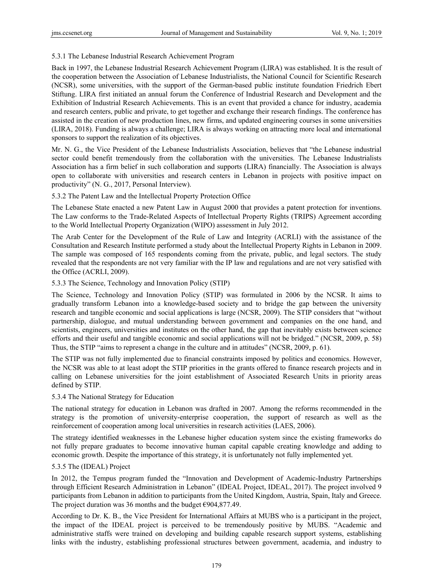# 5.3.1 The Lebanese Industrial Research Achievement Program

Back in 1997, the Lebanese Industrial Research Achievement Program (LIRA) was established. It is the result of the cooperation between the Association of Lebanese Industrialists, the National Council for Scientific Research (NCSR), some universities, with the support of the German-based public institute foundation Friedrich Ebert Stiftung. LIRA first initiated an annual forum the Conference of Industrial Research and Development and the Exhibition of Industrial Research Achievements. This is an event that provided a chance for industry, academia and research centers, public and private, to get together and exchange their research findings. The conference has assisted in the creation of new production lines, new firms, and updated engineering courses in some universities (LIRA, 2018). Funding is always a challenge; LIRA is always working on attracting more local and international sponsors to support the realization of its objectives.

Mr. N. G., the Vice President of the Lebanese Industrialists Association, believes that "the Lebanese industrial sector could benefit tremendously from the collaboration with the universities. The Lebanese Industrialists Association has a firm belief in such collaboration and supports (LIRA) financially. The Association is always open to collaborate with universities and research centers in Lebanon in projects with positive impact on productivity" (N. G., 2017, Personal Interview).

# 5.3.2 The Patent Law and the Intellectual Property Protection Office

The Lebanese State enacted a new Patent Law in August 2000 that provides a patent protection for inventions. The Law conforms to the Trade-Related Aspects of Intellectual Property Rights (TRIPS) Agreement according to the World Intellectual Property Organization (WIPO) assessment in July 2012.

The Arab Center for the Development of the Rule of Law and Integrity (ACRLI) with the assistance of the Consultation and Research Institute performed a study about the Intellectual Property Rights in Lebanon in 2009. The sample was composed of 165 respondents coming from the private, public, and legal sectors. The study revealed that the respondents are not very familiar with the IP law and regulations and are not very satisfied with the Office (ACRLI, 2009).

# 5.3.3 The Science, Technology and Innovation Policy (STIP)

The Science, Technology and Innovation Policy (STIP) was formulated in 2006 by the NCSR. It aims to gradually transform Lebanon into a knowledge-based society and to bridge the gap between the university research and tangible economic and social applications is large (NCSR, 2009). The STIP considers that "without partnership, dialogue, and mutual understanding between government and companies on the one hand, and scientists, engineers, universities and institutes on the other hand, the gap that inevitably exists between science efforts and their useful and tangible economic and social applications will not be bridged." (NCSR, 2009, p. 58) Thus, the STIP "aims to represent a change in the culture and in attitudes" (NCSR, 2009, p. 61).

The STIP was not fully implemented due to financial constraints imposed by politics and economics. However, the NCSR was able to at least adopt the STIP priorities in the grants offered to finance research projects and in calling on Lebanese universities for the joint establishment of Associated Research Units in priority areas defined by STIP.

# 5.3.4 The National Strategy for Education

The national strategy for education in Lebanon was drafted in 2007. Among the reforms recommended in the strategy is the promotion of university-enterprise cooperation, the support of research as well as the reinforcement of cooperation among local universities in research activities (LAES, 2006).

The strategy identified weaknesses in the Lebanese higher education system since the existing frameworks do not fully prepare graduates to become innovative human capital capable creating knowledge and adding to economic growth. Despite the importance of this strategy, it is unfortunately not fully implemented yet.

# 5.3.5 The (IDEAL) Project

In 2012, the Tempus program funded the "Innovation and Development of Academic-Industry Partnerships through Efficient Research Administration in Lebanon" (IDEAL Project, IDEAL, 2017). The project involved 9 participants from Lebanon in addition to participants from the United Kingdom, Austria, Spain, Italy and Greece. The project duration was 36 months and the budget €904,877.49.

According to Dr. K. B., the Vice President for International Affairs at MUBS who is a participant in the project, the impact of the IDEAL project is perceived to be tremendously positive by MUBS. "Academic and administrative staffs were trained on developing and building capable research support systems, establishing links with the industry, establishing professional structures between government, academia, and industry to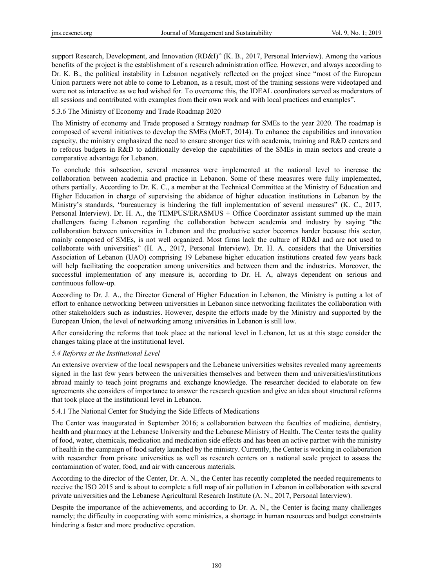support Research, Development, and Innovation (RD&I)" (K. B., 2017, Personal Interview). Among the various benefits of the project is the establishment of a research administration office. However, and always according to Dr. K. B., the political instability in Lebanon negatively reflected on the project since "most of the European Union partners were not able to come to Lebanon, as a result, most of the training sessions were videotaped and were not as interactive as we had wished for. To overcome this, the IDEAL coordinators served as moderators of all sessions and contributed with examples from their own work and with local practices and examples".

5.3.6 The Ministry of Economy and Trade Roadmap 2020

The Ministry of economy and Trade proposed a Strategy roadmap for SMEs to the year 2020. The roadmap is composed of several initiatives to develop the SMEs (MoET, 2014). To enhance the capabilities and innovation capacity, the ministry emphasized the need to ensure stronger ties with academia, training and R&D centers and to refocus budgets in R&D to additionally develop the capabilities of the SMEs in main sectors and create a comparative advantage for Lebanon.

To conclude this subsection, several measures were implemented at the national level to increase the collaboration between academia and practice in Lebanon. Some of these measures were fully implemented, others partially. According to Dr. K. C., a member at the Technical Committee at the Ministry of Education and Higher Education in charge of supervising the abidance of higher education institutions in Lebanon by the Ministry's standards, "bureaucracy is hindering the full implementation of several measures" (K. C., 2017, Personal Interview). Dr. H. A., the TEMPUS/ERASMUS + Office Coordinator assistant summed up the main challengers facing Lebanon regarding the collaboration between academia and industry by saying "the collaboration between universities in Lebanon and the productive sector becomes harder because this sector, mainly composed of SMEs, is not well organized. Most firms lack the culture of RD&I and are not used to collaborate with universities" (H. A., 2017, Personal Interview). Dr. H. A. considers that the Universities Association of Lebanon (UAO) comprising 19 Lebanese higher education institutions created few years back will help facilitating the cooperation among universities and between them and the industries. Moreover, the successful implementation of any measure is, according to Dr. H. A, always dependent on serious and continuous follow-up.

According to Dr. J. A., the Director General of Higher Education in Lebanon, the Ministry is putting a lot of effort to enhance networking between universities in Lebanon since networking facilitates the collaboration with other stakeholders such as industries. However, despite the efforts made by the Ministry and supported by the European Union, the level of networking among universities in Lebanon is still low.

After considering the reforms that took place at the national level in Lebanon, let us at this stage consider the changes taking place at the institutional level.

# *5.4 Reforms at the Institutional Level*

An extensive overview of the local newspapers and the Lebanese universities websites revealed many agreements signed in the last few years between the universities themselves and between them and universities/institutions abroad mainly to teach joint programs and exchange knowledge. The researcher decided to elaborate on few agreements she considers of importance to answer the research question and give an idea about structural reforms that took place at the institutional level in Lebanon.

# 5.4.1 The National Center for Studying the Side Effects of Medications

The Center was inaugurated in September 2016; a collaboration between the faculties of medicine, dentistry, health and pharmacy at the Lebanese University and the Lebanese Ministry of Health. The Center tests the quality of food, water, chemicals, medication and medication side effects and has been an active partner with the ministry of health in the campaign of food safety launched by the ministry. Currently, the Center is working in collaboration with researcher from private universities as well as research centers on a national scale project to assess the contamination of water, food, and air with cancerous materials.

According to the director of the Center, Dr. A. N., the Center has recently completed the needed requirements to receive the ISO 2015 and is about to complete a full map of air pollution in Lebanon in collaboration with several private universities and the Lebanese Agricultural Research Institute (A. N., 2017, Personal Interview).

Despite the importance of the achievements, and according to Dr. A. N., the Center is facing many challenges namely; the difficulty in cooperating with some ministries, a shortage in human resources and budget constraints hindering a faster and more productive operation.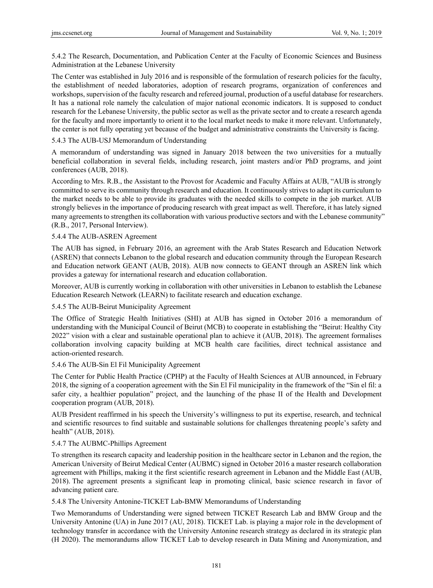5.4.2 The Research, Documentation, and Publication Center at the Faculty of Economic Sciences and Business Administration at the Lebanese University

The Center was established in July 2016 and is responsible of the formulation of research policies for the faculty, the establishment of needed laboratories, adoption of research programs, organization of conferences and workshops, supervision of the faculty research and refereed journal, production of a useful database for researchers. It has a national role namely the calculation of major national economic indicators. It is supposed to conduct research for the Lebanese University, the public sector as well as the private sector and to create a research agenda for the faculty and more importantly to orient it to the local market needs to make it more relevant. Unfortunately, the center is not fully operating yet because of the budget and administrative constraints the University is facing.

# 5.4.3 The AUB-USJ Memorandum of Understanding

A memorandum of understanding was signed in January 2018 between the two universities for a mutually beneficial collaboration in several fields, including research, joint masters and/or PhD programs, and joint conferences (AUB, 2018).

According to Mrs. R.B., the Assistant to the Provost for Academic and Faculty Affairs at AUB, "AUB is strongly committed to serve its community through research and education. It continuously strives to adapt its curriculum to the market needs to be able to provide its graduates with the needed skills to compete in the job market. AUB strongly believes in the importance of producing research with great impact as well. Therefore, it has lately signed many agreements to strengthen its collaboration with various productive sectors and with the Lebanese community" (R.B., 2017, Personal Interview).

# 5.4.4 The AUB-ASREN Agreement

The AUB has signed, in February 2016, an agreement with the Arab States Research and Education Network (ASREN) that connects Lebanon to the global research and education community through the European Research and Education network GEANT (AUB, 2018). AUB now connects to GEANT through an ASREN link which provides a gateway for international research and education collaboration.

Moreover, AUB is currently working in collaboration with other universities in Lebanon to establish the Lebanese Education Research Network (LEARN) to facilitate research and education exchange.

# 5.4.5 The AUB-Beirut Municipality Agreement

The Office of Strategic Health Initiatives (SHI) at AUB has signed in October 2016 a memorandum of understanding with the Municipal Council of Beirut (MCB) to cooperate in establishing the "Beirut: Healthy City 2022" vision with a clear and sustainable operational plan to achieve it (AUB, 2018). The agreement formalises collaboration involving capacity building at MCB health care facilities, direct technical assistance and action-oriented research.

# 5.4.6 The AUB-Sin El Fil Municipality Agreement

The Center for Public Health Practice (CPHP) at the Faculty of Health Sciences at AUB announced, in February 2018, the signing of a cooperation agreement with the Sin El Fil municipality in the framework of the "Sin el fil: a safer city, a healthier population" project, and the launching of the phase II of the Health and Development cooperation program (AUB, 2018).

AUB President reaffirmed in his speech the University's willingness to put its expertise, research, and technical and scientific resources to find suitable and sustainable solutions for challenges threatening people's safety and health" (AUB, 2018).

# 5.4.7 The AUBMC-Phillips Agreement

To strengthen its research capacity and leadership position in the healthcare sector in Lebanon and the region, the American University of Beirut Medical Center (AUBMC) signed in October 2016 a master research collaboration agreement with Phillips, making it the first scientific research agreement in Lebanon and the Middle East (AUB, 2018). The agreement presents a significant leap in promoting clinical, basic science research in favor of advancing patient care.

5.4.8 The University Antonine-TICKET Lab-BMW Memorandums of Understanding

Two Memorandums of Understanding were signed between TICKET Research Lab and BMW Group and the University Antonine (UA) in June 2017 (AU, 2018). TICKET Lab. is playing a major role in the development of technology transfer in accordance with the University Antonine research strategy as declared in its strategic plan (H 2020). The memorandums allow TICKET Lab to develop research in Data Mining and Anonymization, and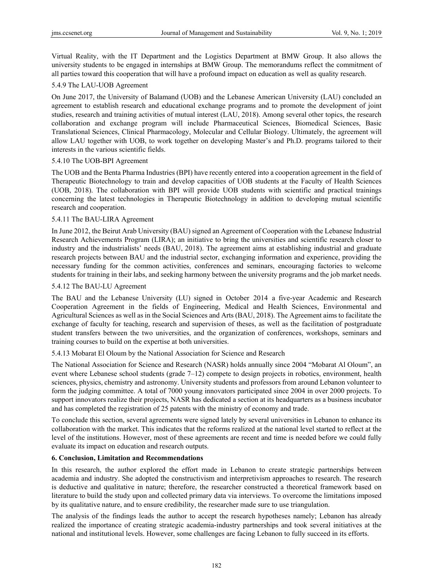Virtual Reality, with the IT Department and the Logistics Department at BMW Group. It also allows the university students to be engaged in internships at BMW Group. The memorandums reflect the commitment of all parties toward this cooperation that will have a profound impact on education as well as quality research.

# 5.4.9 The LAU-UOB Agreement

On June 2017, the University of Balamand (UOB) and the Lebanese American University (LAU) concluded an agreement to establish research and educational exchange programs and to promote the development of joint studies, research and training activities of mutual interest (LAU, 2018). Among several other topics, the research collaboration and exchange program will include Pharmaceutical Sciences, Biomedical Sciences, Basic Translational Sciences, Clinical Pharmacology, Molecular and Cellular Biology. Ultimately, the agreement will allow LAU together with UOB, to work together on developing Master's and Ph.D. programs tailored to their interests in the various scientific fields.

# 5.4.10 The UOB-BPI Agreement

The UOB and the Benta Pharma Industries (BPI) have recently entered into a cooperation agreement in the field of Therapeutic Biotechnology to train and develop capacities of UOB students at the Faculty of Health Sciences (UOB, 2018). The collaboration with BPI will provide UOB students with scientific and practical trainings concerning the latest technologies in Therapeutic Biotechnology in addition to developing mutual scientific research and cooperation.

# 5.4.11 The BAU-LIRA Agreement

In June 2012, the Beirut Arab University (BAU) signed an Agreement of Cooperation with the Lebanese Industrial Research Achievements Program (LIRA); an initiative to bring the universities and scientific research closer to industry and the industrialists' needs (BAU, 2018). The agreement aims at establishing industrial and graduate research projects between BAU and the industrial sector, exchanging information and experience, providing the necessary funding for the common activities, conferences and seminars, encouraging factories to welcome students for training in their labs, and seeking harmony between the university programs and the job market needs.

# 5.4.12 The BAU-LU Agreement

The BAU and the Lebanese University (LU) signed in October 2014 a five-year Academic and Research Cooperation Agreement in the fields of Engineering, Medical and Health Sciences, Environmental and Agricultural Sciences as well as in the Social Sciences and Arts (BAU, 2018). The Agreement aims to facilitate the exchange of faculty for teaching, research and supervision of theses, as well as the facilitation of postgraduate student transfers between the two universities, and the organization of conferences, workshops, seminars and training courses to build on the expertise at both universities.

# 5.4.13 Mobarat El Oloum by the National Association for Science and Research

The National Association for Science and Research (NASR) holds annually since 2004 "Mobarat Al Oloum", an event where Lebanese school students (grade 7–12) compete to design projects in robotics, environment, health sciences, physics, chemistry and astronomy. University students and professors from around Lebanon volunteer to form the judging committee. A total of 7000 young innovators participated since 2004 in over 2000 projects. To support innovators realize their projects, NASR has dedicated a section at its headquarters as a business incubator and has completed the registration of 25 patents with the ministry of economy and trade.

To conclude this section, several agreements were signed lately by several universities in Lebanon to enhance its collaboration with the market. This indicates that the reforms realized at the national level started to reflect at the level of the institutions. However, most of these agreements are recent and time is needed before we could fully evaluate its impact on education and research outputs.

# **6. Conclusion, Limitation and Recommendations**

In this research, the author explored the effort made in Lebanon to create strategic partnerships between academia and industry. She adopted the constructivism and interpretivism approaches to research. The research is deductive and qualitative in nature; therefore, the researcher constructed a theoretical framework based on literature to build the study upon and collected primary data via interviews. To overcome the limitations imposed by its qualitative nature, and to ensure credibility, the researcher made sure to use triangulation.

The analysis of the findings leads the author to accept the research hypotheses namely; Lebanon has already realized the importance of creating strategic academia-industry partnerships and took several initiatives at the national and institutional levels. However, some challenges are facing Lebanon to fully succeed in its efforts.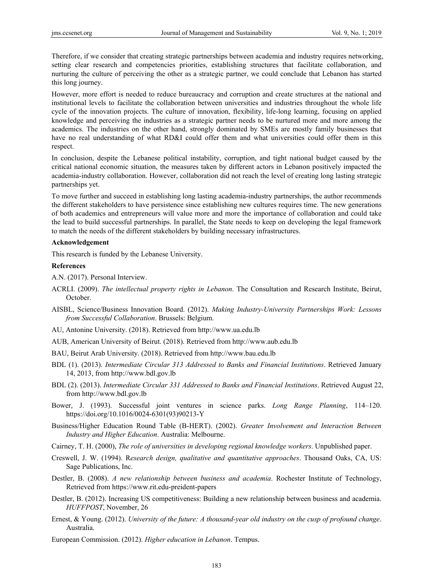Therefore, if we consider that creating strategic partnerships between academia and industry requires networking, setting clear research and competencies priorities, establishing structures that facilitate collaboration, and nurturing the culture of perceiving the other as a strategic partner, we could conclude that Lebanon has started this long journey.

However, more effort is needed to reduce bureaucracy and corruption and create structures at the national and institutional levels to facilitate the collaboration between universities and industries throughout the whole life cycle of the innovation projects. The culture of innovation, flexibility, life-long learning, focusing on applied knowledge and perceiving the industries as a strategic partner needs to be nurtured more and more among the academics. The industries on the other hand, strongly dominated by SMEs are mostly family businesses that have no real understanding of what RD&I could offer them and what universities could offer them in this respect.

In conclusion, despite the Lebanese political instability, corruption, and tight national budget caused by the critical national economic situation, the measures taken by different actors in Lebanon positively impacted the academia-industry collaboration. However, collaboration did not reach the level of creating long lasting strategic partnerships yet.

To move further and succeed in establishing long lasting academia-industry partnerships, the author recommends the different stakeholders to have persistence since establishing new cultures requires time. The new generations of both academics and entrepreneurs will value more and more the importance of collaboration and could take the lead to build successful partnerships. In parallel, the State needs to keep on developing the legal framework to match the needs of the different stakeholders by building necessary infrastructures.

#### **Acknowledgement**

This research is funded by the Lebanese University.

#### **References**

A.N. (2017). Personal Interview.

- ACRLI. (2009). *The intellectual property rights in Lebanon*. The Consultation and Research Institute, Beirut, October.
- AISBL, Science/Business Innovation Board. (2012). *Making Industry-University Partnerships Work: Lessons from Successful Collaboration*. Brussels: Belgium.
- AU, Antonine University. (2018). Retrieved from http://www.ua.edu.lb
- AUB, American University of Beirut. (2018). Retrieved from http://www.aub.edu.lb
- BAU, Beirut Arab University. (2018). Retrieved from http://www.bau.edu.lb
- BDL (1). (2013). *Intermediate Circular 313 Addressed to Banks and Financial Institutions*. Retrieved January 14, 2013, from http://www.bdl.gov.lb
- BDL (2). (2013). *Intermediate Circular 331 Addressed to Banks and Financial Institutions*. Retrieved August 22, from http://www.bdl.gov.lb
- Bower, J. (1993). Successful joint ventures in science parks. *Long Range Planning*, 114–120. https://doi.org/10.1016/0024-6301(93)90213-Y
- Business/Higher Education Round Table (B-HERT). (2002). *Greater Involvement and Interaction Between Industry and Higher Education*. Australia: Melbourne.
- Cairney, T. H. (2000), *The role of universities in developing regional knowledge workers*. Unpublished paper.
- Creswell, J. W. (1994). R*esearch design, qualitative and quantitative approaches*. Thousand Oaks, CA, US: Sage Publications, Inc.
- Destler, B. (2008). *A new relationship between business and academia*. Rochester Institute of Technology, Retrieved from https://www.rit.edu-preident-papers
- Destler, B. (2012). Increasing US competitiveness: Building a new relationship between business and academia. *HUFFPOST*, November, 26
- Ernest, & Young. (2012). *University of the future: A thousand-year old industry on the cusp of profound change*. Australia.
- European Commission. (2012). *Higher education in Lebanon*. Tempus.